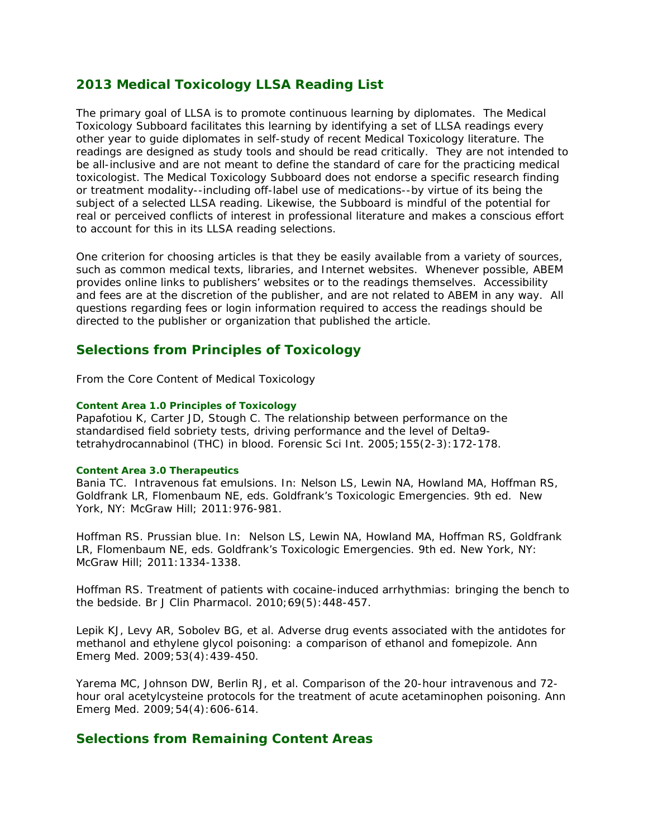# **2013 Medical Toxicology LLSA Reading List**

The primary goal of LLSA is to promote continuous learning by diplomates. The Medical Toxicology Subboard facilitates this learning by identifying a set of LLSA readings every other year to guide diplomates in self-study of recent Medical Toxicology literature. The readings are designed as study tools and should be read critically. They are not intended to be all-inclusive and are not meant to define the standard of care for the practicing medical toxicologist. The Medical Toxicology Subboard does not endorse a specific research finding or treatment modality--including off-label use of medications--by virtue of its being the subject of a selected LLSA reading. Likewise, the Subboard is mindful of the potential for real or perceived conflicts of interest in professional literature and makes a conscious effort to account for this in its LLSA reading selections.

One criterion for choosing articles is that they be easily available from a variety of sources, such as common medical texts, libraries, and Internet websites. Whenever possible, ABEM provides online links to publishers' websites or to the readings themselves. Accessibility and fees are at the discretion of the publisher, and are not related to ABEM in any way. All questions regarding fees or login information required to access the readings should be directed to the publisher or organization that published the article.

## **Selections from Principles of Toxicology**

*From the Core Content of Medical Toxicology*

#### *Content Area 1.0 Principles of Toxicology*

Papafotiou K, Carter JD, Stough C. The relationship between performance on the standardised field sobriety tests, driving performance and the level of Delta9 tetrahydrocannabinol (THC) in blood. *Forensic Sci Int*. 2005;155(2-3):172-178.

#### *Content Area 3.0 Therapeutics*

Bania TC. Intravenous fat emulsions. In: Nelson LS, Lewin NA, Howland MA, Hoffman RS, Goldfrank LR, Flomenbaum NE, eds. *Goldfrank's Toxicologic Emergencies*. 9th ed. New York, NY: McGraw Hill; 2011:976-981.

Hoffman RS. Prussian blue. In: Nelson LS, Lewin NA, Howland MA, Hoffman RS, Goldfrank LR, Flomenbaum NE, eds. *Goldfrank's Toxicologic Emergencies*. 9th ed. New York, NY: McGraw Hill; 2011:1334-1338.

Hoffman RS. Treatment of patients with cocaine-induced arrhythmias: bringing the bench to the bedside. *Br J Clin Pharmacol*. 2010;69(5):448-457.

Lepik KJ, Levy AR, Sobolev BG, et al. Adverse drug events associated with the antidotes for methanol and ethylene glycol poisoning: a comparison of ethanol and fomepizole. *Ann Emerg Med*. 2009;53(4):439-450.

Yarema MC, Johnson DW, Berlin RJ, et al. Comparison of the 20-hour intravenous and 72 hour oral acetylcysteine protocols for the treatment of acute acetaminophen poisoning. *Ann Emerg Med*. 2009;54(4):606-614.

### **Selections from Remaining Content Areas**